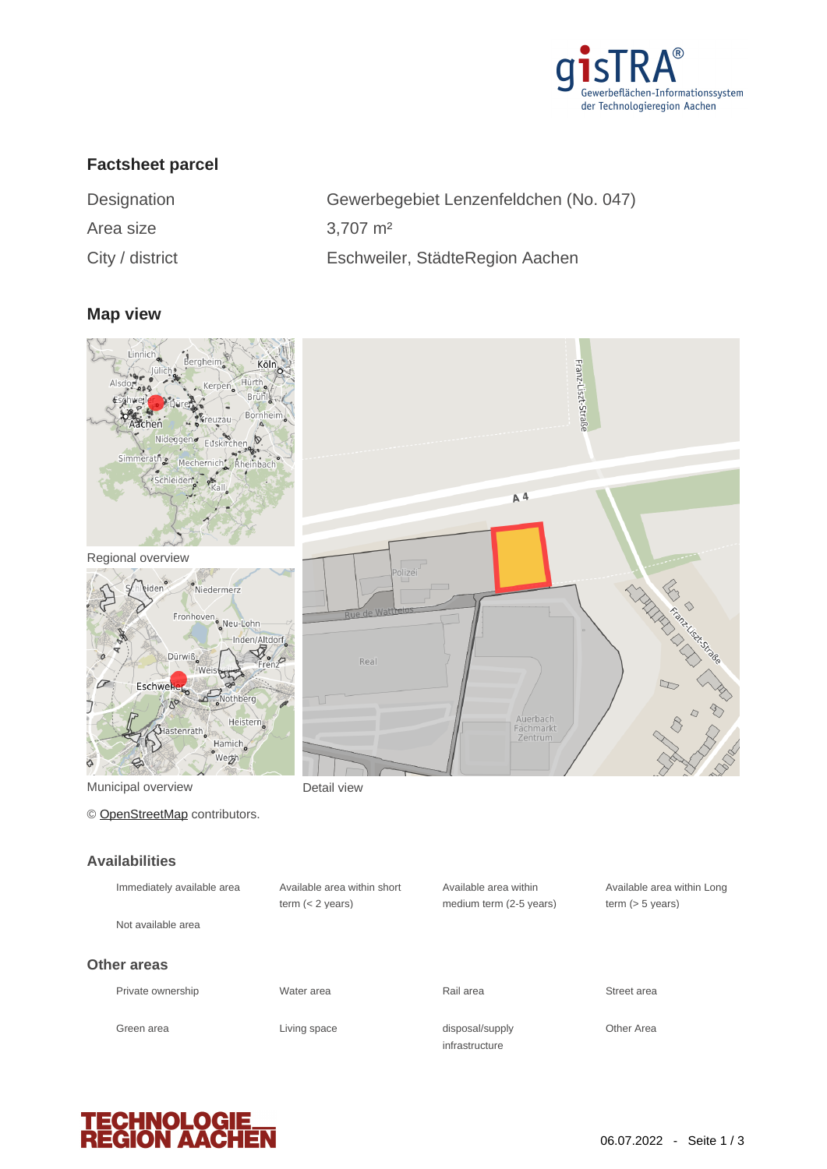

Franz-Liszt-Straße

# **Factsheet parcel**

| Designation     | Gewerbegebiet Lenzenfeldchen (No. 047) |
|-----------------|----------------------------------------|
| Area size       | $3.707 \text{ m}^2$                    |
| City / district | Eschweiler, StädteRegion Aachen        |

#### **Map view**



Regional overview



© [OpenStreetMap](http://www.openstreetmap.org/copyright) contributors.

#### **Availabilities**

| Immediately available area | Available area within short<br>term $(< 2$ years) | Available area within<br>medium term (2-5 years) | Available a<br>term $(> 5 v)$ |
|----------------------------|---------------------------------------------------|--------------------------------------------------|-------------------------------|
| Not available area         |                                                   |                                                  |                               |
| <b>Other areas</b>         |                                                   |                                                  |                               |
| Private ownership          | Water area                                        | Rail area                                        | Street area                   |
| Green area                 | Living space                                      | disposal/supply<br>infrastructure                | <b>Other Area</b>             |



Available area within Long term (> 5 years)

**TECHNOLOGIE<br>REGION AACHEN**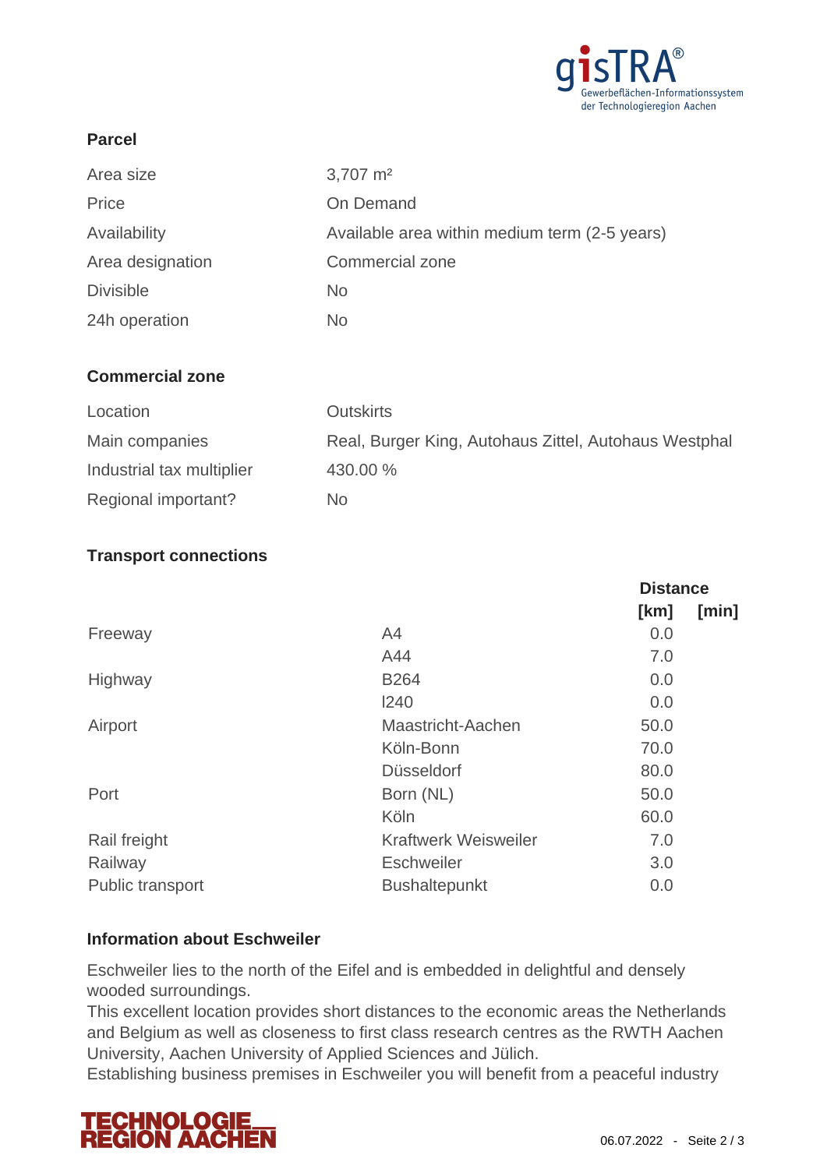

## **Parcel**

| Area size        | $3,707 \text{ m}^2$                           |
|------------------|-----------------------------------------------|
| Price            | On Demand                                     |
| Availability     | Available area within medium term (2-5 years) |
| Area designation | <b>Commercial zone</b>                        |
| <b>Divisible</b> | <b>No</b>                                     |
| 24h operation    | No                                            |

### **Commercial zone**

| Location                  | <b>Outskirts</b>                                      |
|---------------------------|-------------------------------------------------------|
| Main companies            | Real, Burger King, Autohaus Zittel, Autohaus Westphal |
| Industrial tax multiplier | 430.00 %                                              |
| Regional important?       | No.                                                   |

### **Transport connections**

|                             | <b>Distance</b> |       |
|-----------------------------|-----------------|-------|
|                             | [km]            | [min] |
| A4                          | 0.0             |       |
| A44                         | 7.0             |       |
| <b>B264</b>                 | 0.0             |       |
| 1240                        | 0.0             |       |
| Maastricht-Aachen           | 50.0            |       |
| Köln-Bonn                   | 70.0            |       |
| <b>Düsseldorf</b>           | 80.0            |       |
| Born (NL)                   | 50.0            |       |
| Köln                        | 60.0            |       |
| <b>Kraftwerk Weisweiler</b> | 7.0             |       |
| <b>Eschweiler</b>           | 3.0             |       |
| <b>Bushaltepunkt</b>        | 0.0             |       |
|                             |                 |       |

### **Information about Eschweiler**

Eschweiler lies to the north of the Eifel and is embedded in delightful and densely wooded surroundings.

This excellent location provides short distances to the economic areas the Netherlands and Belgium as well as closeness to first class research centres as the RWTH Aachen University, Aachen University of Applied Sciences and Jülich.

Establishing business premises in Eschweiler you will benefit from a peaceful industry